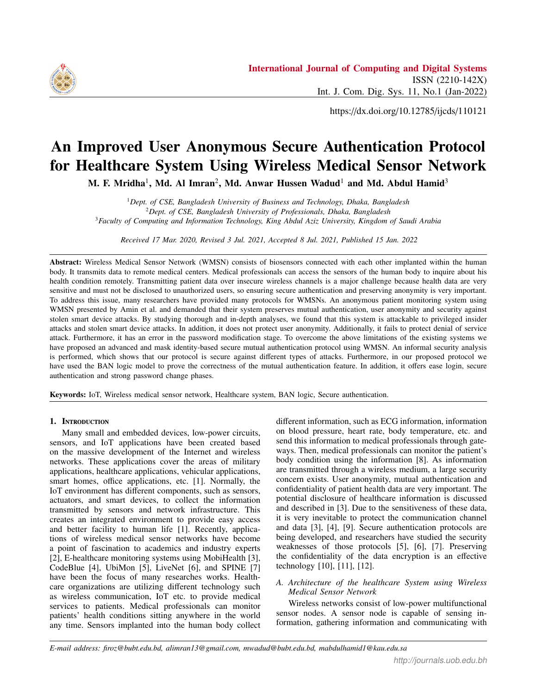

https://dx.doi.org/10.12785/ijcds/110121

# An Improved User Anonymous Secure Authentication Protocol for Healthcare System Using Wireless Medical Sensor Network

M. F. Mridha<sup>1</sup>, Md. Al Imran<sup>2</sup>, Md. Anwar Hussen Wadud<sup>1</sup> and Md. Abdul Hamid<sup>3</sup>

<sup>1</sup>*Dept. of CSE, Bangladesh University of Business and Technology, Dhaka, Bangladesh* <sup>2</sup>*Dept. of CSE, Bangladesh University of Professionals, Dhaka, Bangladesh* <sup>3</sup>*Faculty of Computing and Information Technology, King Abdul Aziz University, Kingdom of Saudi Arabia*

*Received 17 Mar. 2020, Revised 3 Jul. 2021, Accepted 8 Jul. 2021, Published 15 Jan. 2022*

Abstract: Wireless Medical Sensor Network (WMSN) consists of biosensors connected with each other implanted within the human body. It transmits data to remote medical centers. Medical professionals can access the sensors of the human body to inquire about his health condition remotely. Transmitting patient data over insecure wireless channels is a major challenge because health data are very sensitive and must not be disclosed to unauthorized users, so ensuring secure authentication and preserving anonymity is very important. To address this issue, many researchers have provided many protocols for WMSNs. An anonymous patient monitoring system using WMSN presented by Amin et al. and demanded that their system preserves mutual authentication, user anonymity and security against stolen smart device attacks. By studying thorough and in-depth analyses, we found that this system is attackable to privileged insider attacks and stolen smart device attacks. In addition, it does not protect user anonymity. Additionally, it fails to protect denial of service attack. Furthermore, it has an error in the password modification stage. To overcome the above limitations of the existing systems we have proposed an advanced and mask identity-based secure mutual authentication protocol using WMSN. An informal security analysis is performed, which shows that our protocol is secure against different types of attacks. Furthermore, in our proposed protocol we have used the BAN logic model to prove the correctness of the mutual authentication feature. In addition, it offers ease login, secure authentication and strong password change phases.

Keywords: IoT, Wireless medical sensor network, Healthcare system, BAN logic, Secure authentication.

# 1. INTRODUCTION

Many small and embedded devices, low-power circuits, sensors, and IoT applications have been created based on the massive development of the Internet and wireless networks. These applications cover the areas of military applications, healthcare applications, vehicular applications, smart homes, office applications, etc. [1]. Normally, the IoT environment has different components, such as sensors, actuators, and smart devices, to collect the information transmitted by sensors and network infrastructure. This creates an integrated environment to provide easy access and better facility to human life [1]. Recently, applications of wireless medical sensor networks have become a point of fascination to academics and industry experts [2], E-healthcare monitoring systems using MobiHealth [3], CodeBlue [4], UbiMon [5], LiveNet [6], and SPINE [7] have been the focus of many researches works. Healthcare organizations are utilizing different technology such as wireless communication, IoT etc. to provide medical services to patients. Medical professionals can monitor patients' health conditions sitting anywhere in the world any time. Sensors implanted into the human body collect different information, such as ECG information, information on blood pressure, heart rate, body temperature, etc. and send this information to medical professionals through gateways. Then, medical professionals can monitor the patient's body condition using the information [8]. As information are transmitted through a wireless medium, a large security concern exists. User anonymity, mutual authentication and confidentiality of patient health data are very important. The potential disclosure of healthcare information is discussed and described in [3]. Due to the sensitiveness of these data, it is very inevitable to protect the communication channel and data [3], [4], [9]. Secure authentication protocols are being developed, and researchers have studied the security weaknesses of those protocols [5], [6], [7]. Preserving the confidentiality of the data encryption is an effective technology [10], [11], [12].

# *A. Architecture of the healthcare System using Wireless Medical Sensor Network*

Wireless networks consist of low-power multifunctional sensor nodes. A sensor node is capable of sensing information, gathering information and communicating with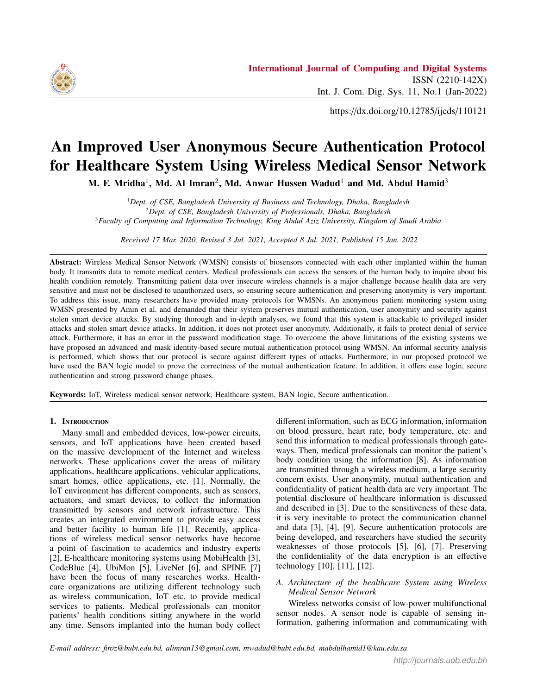

base stations and other connected nodes. Base stations are a prominent component of WSNs and act as gateways between sensor nodes and end users [13]. Presently, WSNs are broadly applied in different types of applications, for example, forest fire detection, air pollution monitoring, enemy intrusion monitoring, and healthcare monitoring. In this paper, we have provided a model for monitoring patient health using wireless sensor network in Figure 1. The newly introduced model was composed of three participants: medical professionals, such as doctors, patients, nurses, gateways and sensors. Sensors with less power and resources are placed into the human body, collect physical information from the patient body and send this information to gateway via router. The gateway has much more computation power, the core part of communication. It also acts as a secure registration and authentication medium between medical professionals and sensors. Before exchanging any information between the user and sensor, they need to register themselves with the help of a gateway. After authentication by the gateway, medical professionals can obtain health information from the sensor to monitor patient health conditions. Direct communication [1], [14], [15], [16] between sensors and medical professionals' costs higher energy and decreases the lifetime of sensor nodes. Some protocols have been described in [1], [14], [15], where sensor nodes send patient information directly to medical professionals. So, it incurs higher communication cost. For this reason, sensor node lifetime decreases gradually and becomes dead. We have addressed this issue in our proposed model and modified it in Figure 1, where the exchange of information occurs via the gateway node.



Figure 1. The proposed healthcare monitoring system architecture using WMSN. Sensor inside human body, gateway and medical professional, communicate through an access point called router.

## *B. Related works*

We have studied the existing research works related to WMSNs focusing on security issues. The contributions and limitations of those protocols have been studied in detail. We know that the main property of security is the authenticity of the remote user and integrity of transmitted data [17], [18], [19], [20], [21], [22]. In 2009, Das proposed [23] a two-factor authentication process based on smart card devices. He claimed his protocol achieves protection against different security threats. However, the node camouflage invasions, user camouflage invasions, and guessing offline passwords have been found and described in [24]. In [25], the approach is risky in attacks of internal and parallel sessions where the process of mutual authentication has failed in its approach. A temporal credential-based authentication approach [26] was introduced by Xue et. al. in 2013. In the same year, cryptanalysis was performed in [27] on the Xue et. al. approach by Lie et. al. They demanded that the Xue et. al. approach is not protected against guessing offline password, stolen verifiers, privileged insiders, and stolen smart card attacks. We have found that ECC systems [28] [29], RSA cryptosystem [30], bilinierpairing [31], chaoric map [32] and hash function [17], [18], [33], [34], [35], [36], [37], [38] have been used to develop key agreement and user authentication protocols. A user authentication scheme for WMSN is presented in [14]. This scheme is not secure against privileged insider attacks and offline password guessing attacks [1]. They proposed an improved scheme to overcome the weakness of [14] in 2015. Later, a cryptanalysis was performed in [7] against this protocol and found several incorrectness and flaws in their design. Then, they [7] proposed a new scheme to remove the weakness of the [1] protocol. In 2016, R. Amin et. al. [39] found that their proposed security model is prone to internal attacks and sensor node capture attacks without revealing the username. A secure smart card-based anonymous user authentication protocol has been proposed by removing the drawback of the [7] protocol. In this paper, we have analyzed the paper and found that this protocol does not withstand privileged insider attacks, stolen mobile device attacks, denial of service attacks and fails to preserve user anonymity. Moreover, we have shown that there exists a flaw in the password change phase. To secure against the above security flaws, we have proposed an improved protocol that retains the original merits of [40]. Our scheme uses a one-way hash function and lightweight XOR operation.

## *C. Motivation and contribution*

Our proposed architecture in Figure 1 provides a framework to monitor patient health data remotely. As patient data are very sensitive, security and privacy issues are a major concern here. Researchers have paid their attention in this field. They have also focused on different attacks, such as user anonymity, mutual authentication, and stolen device attacks. Several security protocols have been proposed in recent year to address these limitations, but we have observed in the related works section that those protocols still have weaknesses against known security attacks. For that reason, we are inspired to develop advanced user anonymous protocols in WMSN that is more efficient, and the main achievement of this article are given below:

- 1) We have proven that Amin et al.'s system has security flaws, such as stolen smart device attacks, privileged insider attacks, and denial of service attacks. It cannot preserve user anonymity. It also has weakness in the password change stage.
- 2) We have proposed a masked identity with hash function-based mutual authentication protocol to overcome this weakness.
- 3) We have analyzed and found that the proposed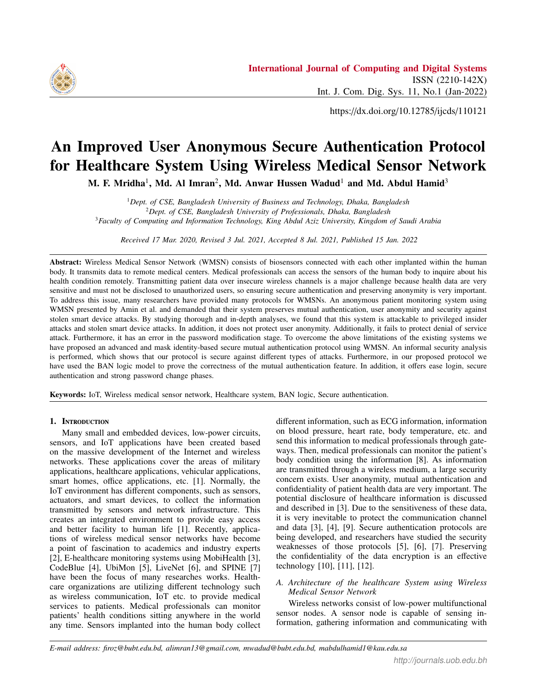protocol reduces the energy consumption of sensor nodes.

- 4) To prove the correctness of the mutual authentication feature, we have used the BAN model.
- 5) An informal defense analysis has been performed to show that it protects against various security attacks.

# *D. Construction of the paper*

The rest of the paper is categorized as follows: section 2 provides security problems in the IoT for better understanding of the paper, security protocol [40] has been reviewed in section 3, and section 4 depicts the cryptanalysis of the protocol in [40]. The proposed protocol is explained in section 5. Section 6 gives an informal security analysis of the proposed protocol. The correctness of mutual authentication is proven in section 7, and section 8 concludes the paper.

# 2. SECURITY IN IOT ENVIRONMENT

The Internet of Things brings human life into a comfortable zone. It provides easy access to internet-using devices, smart phones, etc. Devices are connected through Wi-Fi, Bluetooth, radio frequency identification (RFID), etc. [41]. With the increase in different communication devices, security is a foremost concern because sensitive information is transferred using this network. Security threats and vulnerabilities are also increasing due to the increased number of embedded devices. This can compromise the privacy of the user. In addition, IoT environments have microprocessors, devices, sensors [42], and the devices are resource constraints. As a result, performance may vary due to the characteristics of IoT apparatus. The protocol should be developed by considering resource-constrained apparatus in the IoT environment [43].

One of the pressing concerns in IoT networks is to ensure the authenticity of the user and devices and key management among them. The IoT security requirement must provide the reliability of protection to the user [43]. Now, it becomes a challenge to deploy security in this environment. Cryptography plays an important role in ensuring security. User credentials are protected using the cryptographic technique. Identity management, key management, and user credential management are often maintained automatically, but it is still very challenging to deploy in the IoT environment [42].

# *A. Threat model*

IoT devices are now used to operate many applications to provide better services. It is also used in many critical infrastructures, such as smart grids and healthcare organizations. In addition, IoT devices are generally portable in nature. Many security threats can hamper the activities of IoT environments. Therefore, we should be aware that it is not compromised by the adversary; otherwise, the loss encountered will be paramount. As devices use the internet to communicate with each other, they face the same security threats, which are as follows:

- 1) Privileged insider attack: One type of attack in which a user operates the activities of Gateway and has access to IoT devices. He can capture the information that an IoT device transmits to the gateway. In this way, he can compromise the operation and can do any modification to benefit from this environment.
- 2) Smart device/stolen mobile attack: The smart device is portable and can be lost or stolen. As these devices are tamper-resistant, if an intruder finds devices, the attackers can extract information from the stolen data using Power Analysis Attacks [44], [45]. From this information, intruders can extract more sensitive information that is communicated among different parties.
- 3) Denial of service attack: Denial of service attack occur where the operation of IoT devices is not available because of heavily consumed resources by intruders. People will not obtain services from this environment. As people are dependent on internet services, if it is unavailable, then human life will be hampered. It may cause different human life threat problems. Therefore, security against this type of attack is very important.
- 4) Password change attack: Password is an authentication parameter to prove a user's claim that he is a real user of the system. This password is needed to change after a certain period of time to make the system secure. If the password changing mechanism is not secure, then any adversary can change the password using a number of attempts and gain entry to the network. Once an opponent obtains entree to the system, he can modify any information that will reflect adverse effects on the system.

# *B. Security requirement*

The security requirement is paramount when we develop any authentication protocol. Otherwise, the protocol will not be treated as secure. The essential requirements are discussed below.

- 1) Mutual authentication: Mutual authentication refers to the authentication where both entities are authenticated by each other. It is very important for any security protocol because the sender or receiver both needs confirmation that the message comes from a genuine source. Spoofing attacks can be protected using this parameter [42].
- 2) Confidentiality: Confidentiality means preventing unauthorized disclosure of information to unintended users. It is one of the basic security requirements for the IoT protocol because the IoT is used to support many applications, such as healthcare systems and smart grid systems. Therefore, if confidentiality is compromised, then much sensitive information will be lost. That is why we have to transmit the data securely. To achieve confidentiality, we can apply encryption with the aim of only genuine receivers to extract the information.

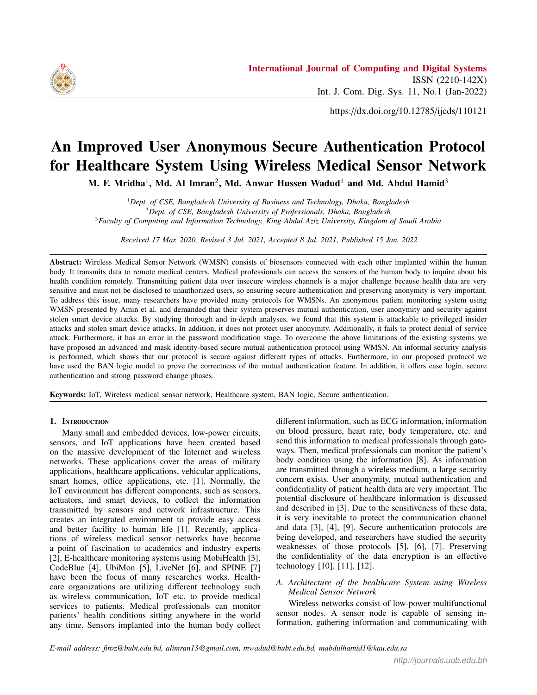

- 3) Availability: This term ensures that the services will remain available even if any disaster. People will receive services whenever they want. This requirement is very important because many sensitive applications are running using the IoT environment.
- 4) User anonymity: Anonymity means concealing the identity of users, such as doctors and patients. The importance of user privacy has been addressed in recent research papers. The user's identity is one of the most important personal information of the user because leaking this information can lead to the theft of that user's identity.

## 3. REVIEW OF AMIN ET AL.' S SCHEME

In [40], a patient monitoring system for a wireless medical sensor network was proposed. Their authentication and key negotiation scheme consist of five phases which we have discussed through sub-sections. In Table I, we described all the symbolizations used in the procedure.

TABLE I. SYMBOL USED IN PROCEDUE [40]

| Symbol              | Description                           |
|---------------------|---------------------------------------|
| Ui                  | Medical professional                  |
| G W                 | Gateway node                          |
| $S N_i$             | Sensor node                           |
| $P W_i$             | Password of U i                       |
| $U$ ID <sub>i</sub> | Identity of $U$ i                     |
| $U$ $ID_{SNi}$      | Identity of $S$ $N_i$                 |
| S K                 | Secret key of $G$ <sub><i>W</i></sub> |
| $TU$ $ID_i$         | Unique Temporary Identity generated   |
|                     | by G W for $U$ i                      |
| RN1                 | Random nonce created by $U$ i         |
| RN2                 | Random nonce created by $G$ W         |
| $RN_3$              | Random nonce created by $S$ $N_i$     |
| hf(.)               | Cryptographic one-way hash function   |
| II                  | Concatenation operation               |
|                     | Bitwise XOR operation                 |
|                     |                                       |

#### *A. Setup phase*

In this segment, a long-term top-secret key *S K* is generated by the registration center for gateway *G W* and computes a secret key  $SK_{gw}$   $_{snj}$  = hf( $U$  *ID* $_{SN_j}$  j] $S$  *K*) for  $SN_j$ , where 1 *j* n, n denotes sensor node numbers. It also practices a lightweight cryptographic hash function which is prescribe as hf:  $f0$ ;  $1g \perp f0$ ;  $1g^{l}$ , where l represents hf() output length hf(.) output length.

#### *B. Medical Professional registration phase*

Here, medical professionals must be registered with G W to provide health-care services. The steps are shown below:

Step 1: An individual user id *U ID<sup>i</sup>* and password  $P_{N_i}$  select by  $U_{i}$ , then apply  $HP_{N_i} = hf(U_{i}D_i)$ 

 $P_{i} = W_{i}$ ). then, user sends <  $U_{i} = ID_{i}$ ,  $HP_{i} = W_{i}$  > to gateway *G W* through TLS protocol.

**Step 2**:  $G_{N}$  *W* calculates  $U_{R}e_{i} = hf(U_{N}D_{i})$  *RN<sub>i</sub>* **j**  $HP_{\perp}W_i$ ;  $AA_i = RN_i$   $HP_{\perp}W_i$ ,  $AB_i = H(U_{\perp}ID_i)$  *RN<sub>i</sub> S K* ),  $AC_i = AB_i$  *hf*(U ID<sub>*i*</sub> RN<sub>*i*</sub> HP W<sub>*i*</sub>),  $D_i = RN_i$  $\overline{hf}$ (TU  $\Box$  ID<sub>*i*</sub> |j| *S*  $\Box$ *K*), where *RN<sub>i</sub>* and  $TU \Box$  *ID<sub>i</sub>* are random numbers and temporary identities of  $U^{\top}$ *i*. *G W* picks different *TU ID<sup>i</sup>* for each session to avoid traceability attacks.

**Step 3:**  $G_W$  uses a table to store  $\lt TU \text{ID}_i$ ,  $D_i$   $\gt$  future her use and forwards  $\lt TU \text{ID} \cdot U \text{Re}$ for future her use and forwards  $\langle TU \_ID_i, U \_Reg_i, AA_i, AC_i \_hf() \rangle >$  to *II i* Then *II i* stores  $\langle TH \rangle$  *ID*. *II* Reg.  $AC_i$ ,  $hf(.) > to U_i$ . Then  $U_i$  istores  $\lt TU_i$  *ID<sub>i</sub>*,  $U_i$   $Reg_i$ ,  $AA_i$ ,  $AC_i$   $hf() > to$  user device after getting from  $\overline{G}$  W  $AA_i$ ,  $AC_i$ ,  $hf(.) >$  to user device after getting from  $G_W$ .

#### *C. Patient registration phase*

This stage is corresponding to Wu et. al [15] proposed phase with a similar name.

#### *D. Login and authentication phase*

At this stage, session key and mutual authentication discussions occur among the candidates engaged. The steps are described below:

**Step 1**:  $U_i$  enters  $U_i$  *ID*<sub>*i*</sub> and passwords  $P_i$  *W<sub>i</sub>* into smart device. Then, it computes  $HP_{i} = hf(U_{i} \cap D_{i})$  $P_{\perp}$ W<sub>*i*</sub>), *RN<sub>i</sub>* = *AA<sub>i</sub>* HP<sub>\_</sub>W<sub>*i*</sub></sub>, *U<sub>\_</sub>Reg<sub><i>i*</sub></sub> = hf(*U\_ID<sub>i</sub>*|j*RN<sub>i</sub>* |j  $HP_{i}$ ,  $W_{i}$ ). Then, it compares whether  $U_{i}$  *Reg<sub>i</sub>* ?=  $U_{i}$  *Reg<sub>i</sub>*. The smart device rejects the login invitation when input password is not same, else, it goes to the subsequent stage.

Step 2: It generates a arbitrary nonce *RN<sup>i</sup>* and computes  $AB_i = AC_i$  *hf*(U ID<sub>*i*</sub> RN<sub>*i*</sub>]*j HP*<sub>*N*</sub> *V<sub><i>i*</sub> ), *CID<sub>i</sub>* =*U*<sub>*IID<sub>i</sub>*</sub>  $hf(\text{TU}\_\text{ID}\_\text{i} \text{jj } RN_i \text{jj } T_1), \text{UM}_1 = hf(\text{U}\_\text{ID}\_\text{i} \text{j} \text{j} \text{A} \text{B}\_\text{i} \text{j} \text{j} \text{R} \text{N}\_\text{i} \text{j} \text{j} T_1),$  $UM_2 = hf(RN_i \parallel T_1)$  RN<sub>i</sub>. Then, sends <  $TU\_ID_i$ <br>*U ID*<sub>CN</sub> *CID*: *UM*<sub>1</sub> *UM*<sub>2</sub>  $T_1 >$  to *G W* over a doubtful  $U_{I}$  *ID*<sub>SN<sub>*j*</sub></sub>, *CID<sub>i</sub>*, *UM*<sub>1</sub>, *UM*<sub>2</sub>, *T*<sub>1</sub> > to *G*<sub>*\_</sub>W* over a doubtful network</sub> network.

**Step 3** :  $G_{N}$  **W** searches the table  $TU_{N}^{-}ID_{i}$  to retrieve  $U \_ID_i$  and computes  $RN_i = U \_ID_i$  *hf*(TU  $\_ID_i$  $\iiint_S K_i, U_{I} D_i = CID_i \ hf(TU_{I} D_i)$   $\iiint_R N_i |T_1|, AB_i =$  $hf(U \_ID_i | jRN_i | jS \_K), RN_i = UM_2 \_ hf(N_i | jT_1), UM_1$  $=$  hf  $(U \underline{ID}_i \parallel AB_i \parallel RN_i \parallel T_1)$ . Now,  $G \underline{W}$  verifies whether  $UM_1$  ?=  $UM_1$ . If  $UM_1$  ? =  $UM_1$  is true, then  $G$  *W* believes that  $U$  *i* sent an authentic message, Otherwise stop the continuation.

Step 4: Subsequently scrutinizing the authenticity of *U i*, *G W* produces a arbitrary number  $RN_2$ and computes  $S K_{gw}$   $_{snj} = \text{hf}(U\_ID_{SN_j} \parallel S_K)$ ,  $UM_3$  $=$  hf(hf(*U ID*<sub>*i*</sub>)</sub>*j RN*<sub>*i*</sub>)</sub>*j RN*<sub>2</sub>))*j BN<sub>2</sub>j RN*<sub>2</sub>*),*  $UM_4$  =  $hf(U_{1}D_i|jRN_i|jRN_2)$  SK<sub>gw snj</sub>,  $UM_5$  =  $RN_2$  $hf(SK_{gw}$  *sn<sub>j</sub>*). Then, *G W* sends < *UM*<sub>3</sub>, *UM*<sub>4</sub>, *UM*<sub>5</sub> > to  $S_N$  through an insecure channel.

**Step 5:**  $S \underset{m \to \infty}{N} j$  computes  $RN_2^0 = UM_5$  *hf*( $SK_{gw}$  *snj*),  $UM_6^0 = UM_4$   $\overline{SK}_{gw}$  *snj*,  $UM_3^0 = hf(hf(UM_6^0 \parallel 1)) \parallel S \overline{K}_{gw}$  *snj*]  $RN_2^0$  and verifies whether  $UM_3^0$  ?=*UM*<sub>3</sub>. If it is correct, *S N<sup>j</sup>* generates a random nonce *RN*<sup>3</sup> and computes *S K*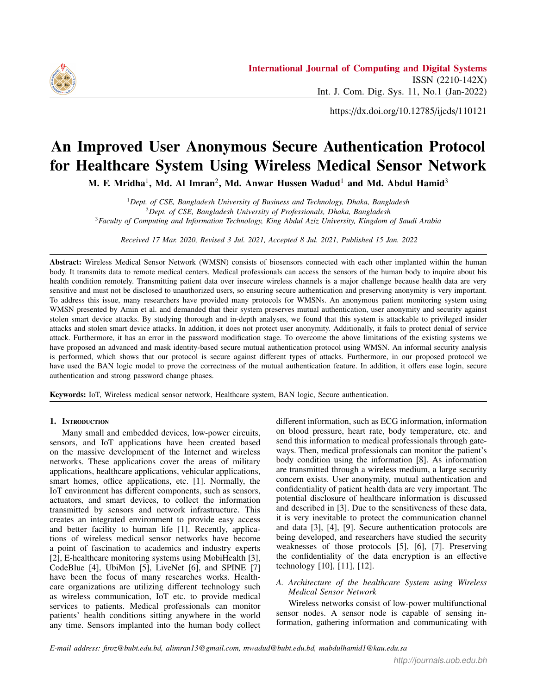$=$  hf(*UM*<sup>0</sup><sub>6</sub> jj *RN*<sub>2</sub>)j *RN*<sub>3</sub>), *UM*<sub>7</sub> = hf(*SK* jj *RN*<sub>3</sub>)j *SK*<sub>*gw snj*</sub>),  $UM_8 = hf(RN_2)$  RN<sub>3</sub>. Finally, *S<sub>N<sub>i</sub>*</sub> sends <  $UM_7$ ,  $U\dot{M}_8$ > to *<sup>G</sup> <sup>W</sup>* through an insecure network.

**Step 6:** After receiving  $\lt U M_7$ ,  $U M_8 \gt U G$  *W* calculates  $RN_3^0 = UM_8$  *hf*( $RN_2$ ),  $SK_0^0 = hf(U \_ID_i^-)$ j*RN<sub>i</sub>* jj  $RN_2$ ) jj  $RN_2$  jj  $RN_3^0$ ,  $UM_7^0 = hf(SK^0)$  jj  $RN_3^0$  jj  $\overline{SK_{gw} \, sin j}$  and verifies whether  $\hat{U}M_{7}^{0}$  ?= $\hat{U}M_{7}$  holds. If it is true, then  $G_{W}$ generates a unique identity  $TU \_ID_i^0$  ( $\neq TU \_ID_i$ ) and then calculates  $UM_9 = RN_2$   $hf\overline{U} \cdot \overline{ID}_i$   $RN_i$ ,  $M_1$   $\overline{D} \cdot \overline{DM}_{10} =$  $hf(U_l \_ID_i]$   $SK^0$  |  $RN_3^0$ ), and  $UM_{11} = TU_l \_ID_i^0$   $hf(RN_2)$ RN<sub>3</sub>). Then, *G W* forwards < *UM*<sub>8</sub>, *UM*<sub>9</sub>, *UM*<sub>10</sub>, *UM*<sub>11</sub> > to *<sup>U</sup> <sup>i</sup>* over a doubtful network.

**Step 7**: After getting <  $UM_8$ ,  $UM_9$ ,  $UM_{10}$ ,  $UM_{11}$  >, *U i* calculates  $RN_2 = UN_9$  *hf*(U ID<sub>i</sub>)  $RN_i$ ,  $RN_3 = UN_8$  $\overline{hf}(\text{RN}_2)$ ,  $TU\_ID_i^0 = UM_{11}$   $\overline{hf}(\overline{\text{RN}}_2 \text{RN}_3)$ ,  $\overline{S}K =$  $hf(ht(UIID_i|j RN_i|j RN_2) j RN_2|j RN_3)$ ,  $UM_{10} =$  $\inf(U \cdot \overline{ID_i} | S K \text{ if } RN_3)$ . Now checks whether  $UM_{10}$ ?  $=UM_{10}$  holds. If it corrects, then  $U_i$  assumes that  $\langle U \tilde{M}_8 \rangle$ ,  $UM_9$ ,  $UM_{10}$ ,  $UM_{11}$  > is logical and  $G$  *W* receives a confirmation. The mobile device then substitutes its old  $TU\_ID_i$  with a new  $TU\_ID_i^0$ . Similarly, the gateway computes the new value  $D_i^0 = RN_i$  *hf*(TU\_ID<sup>0</sup>*i*</sup> jJS *K*) and exchanges  $\langle TU \_ID_i, D_i \rangle$  with the new  $\langle TU \_ID_i^0, D_i \rangle$  $D_i^0$  >.

#### *E. Password change phase*

There is a detailed discussion at this stage on how to update passwords regularly.

Step 1: In the mobile device, *U i* inputs *U ID<sup>i</sup>* and  $P_{-}W_i$ . Then, it performs  $HP_{-}W_i = hf(U_{-}ID_i \cdot P_{-}W_i)$ ),  $RN_i = AA_i$  HP  $W_i$ ,  $U_Reg_i = hf(U_LID_i|)$   $RN_i|$  $HP_{i}$ ) and checks whether  $U_{i}$  *Reg<sub>i</sub>*? =  $U_{i}$  *Reg<sub>i</sub>* is correct or not. When the condition is incorrect, the password modification procedure will be canceled otherwise it will proceed to the subsequent step.

Step 2: Then the device requested a new password for the  $U_i$  after verifying the validity of the  $U_i$ .

**Step 3:** When  $U_i$  enters  $PW_i^{new}$  (original key), then it calculates  $HPW_i^{new} = hf(U_iD_i - PW_i^{new})$ ,  $Reg_i^{new} =$  $\lim_{i \to \infty} \frac{H}{I} \mathbf{E} \mathbf{W}_i = \lim_{i \to \infty} \frac{H}{I} \mathbf{W}_i = \lim_{i \to \infty} \lim_{i \to \infty} \frac{H}{I} \mathbf{W}_i = \lim_{i \to \infty} \lim_{i \to \infty} \frac{H}{I} \mathbf{W}_i = \lim_{i \to \infty} \lim_{i \to \infty} \lim_{i \to \infty} \lim_{i \to \infty} \lim_{i \to \infty} \lim_{i \to \infty} \lim_{i \to \infty} \lim_{i \to \infty} \lim_{i \to \infty} \lim_{i$  $\inf(U \cap \text{ID}_{i}$   $\text{IN}_{i}$   $\text{IN}_{i}$   $\text{IN}_{i} \subseteq K$ ),  $C_{i}^{new} = A_{i}^{new}$  *h*  $f(U \cap \text{ID}_{i}$  RN<sub>i</sub>  $\text{HPW}^{\text{new}}_{i}$ , Finally, it drops  $\lt U_{i}$  *Reg<sub>i</sub>*,  $AA_{i}$ ,  $AC_{i}$  > and ores  $\lt R_{\text{PQ}}$  *Reg*<sup>new</sup>  $A^{\text{new}}$  *C*<sup>new</sup> > into the mobile device stores  $\leq$  *Reg*<sup>new</sup>,  $A_i^{new}$ ,  $C_i^{new}$  > into the mobile device.

#### 4. Amin et al.'s Cryptanalysis protocol

Here, we demonstrate the security error of [40]. They claimed that their protocol [40] preserves user obscurity, which is the most significant security property in medical systems. Although, we have shown that they have failed to uphold it. We have observed that this procedure is penetrable to stolen mobile device attacks and privileged insider attacks; as a result, it also faces denial of service attacks. It also contains an error in the password change stage. A detailed explanation is given below:

## *A. Privileged person attack*

In the medical recording stage of the procedure [40], user  $U_i$  i sends  $\lt U_i$  *ID*<sub>*i*</sub>,  $HP_w$   $\lt V$  to  $G_w$  *W*. Assume an insider who is a privileged user plays the role of an an insider who is a privileged user plays the role of an attacker. Thus, he can know the information  $U$  *ID*<sup>*i*</sup> and *HP*  $W_i$  where  $HP$   $W_i = hf(UID_i P W_i)$ . From this material, the invader can derive the password by executing the subsequent stages.

## Step 1: Guess *P W<sup>i</sup>*

**Step 2:** calculates  $HP_{-}W_i = hf(U_{-}ID_i \ P_{-}W_i)$ . If  $HP_{i}$  matches  $HP_{i}$  *W<sub>i</sub>*, then the assumed  $P_{i}$  *W<sub>i</sub>* is the correct password. Therefore, this protocol has failed to protect against attacks against privileged internal users.

#### *B. Flaw in password change phase*

Suppose that the attacker knows the information  $U$  *ID*<sup>*i*</sup> and *HP W<sup>i</sup>* and derives *P W<sup>i</sup>* from this information. Assume that the insider attacker has stolen the smart device and extract all the information  $\lt TU\_ID_i$ ,  $U\_Reg_i$ ,  $AA_i$ ,  $AC_i$  hf()  $>$  using a nower analysis attack [44] [45] Using  $AC_i$ , hf(.) > using a power analysis attack [44], [45]. Using  $AA_i$ , he can calculate  $RN = AA_i$ . HP, W<sub>i</sub> and *U*,  $Re\sigma =$ *AA<sub>i</sub>*, he can calculate  $RN_i = AA_i$  HP W<sub>*i*</sub> and  $U$   $Reg_i$  = hf( $U$  *ID*<sup>*i*</sup>  $j$  *RN*<sup>*i*</sup>  $j$  *HP W*<sub>*i*</sub>). If  $U$  *Reg<sub>i</sub>*?= $U$  *Reg<sub>i</sub>* holds, then it send a request to user  $U$  *i* to enter a new password. Therefore, an attacker can initiate a new password. He can choose his own password  $P_{w_i}$  and consequently controls the mobile device with his own information.

TABLE II. SYMBOL USED IN THE PROPOSED PROCEDUE

| Symbol              | Description                               |
|---------------------|-------------------------------------------|
| Ui                  | Medical professional                      |
| GTW                 | Gateway node                              |
| SN                  | Sensor node                               |
| $PW_u$              | Password of $U$ i                         |
| $ID_u$              | Identity of $U$ i                         |
| $ID_{\mathsf{gtw}}$ | Identity of gateway node                  |
| K.,                 | Random nonce selected by $U$ i            |
| $SK_{gu}$           | Secret shared key between $GTW$ and $U$ i |
| $SK_{\text{gas}}$   | Secret shared key between GTW and SN      |
| RN"                 | Random nonce generated by GTW             |
| RN1                 | Random nonce created by $U$ i             |
| RN <sub>2</sub>     | Random nonce created by GTW               |
| RN ۽                | Random nonce created by SN                |
| hf(.)               | Cryptographic one-way hash function       |
|                     | Concatenation operation                   |
|                     | Bitwise XOR operation                     |

# *C. Denial of service attack*

The attacker can initiate the password change phase and choose a new password. As a result, the original user cannot login into the system. This causes denial of service scenarios for authorized users.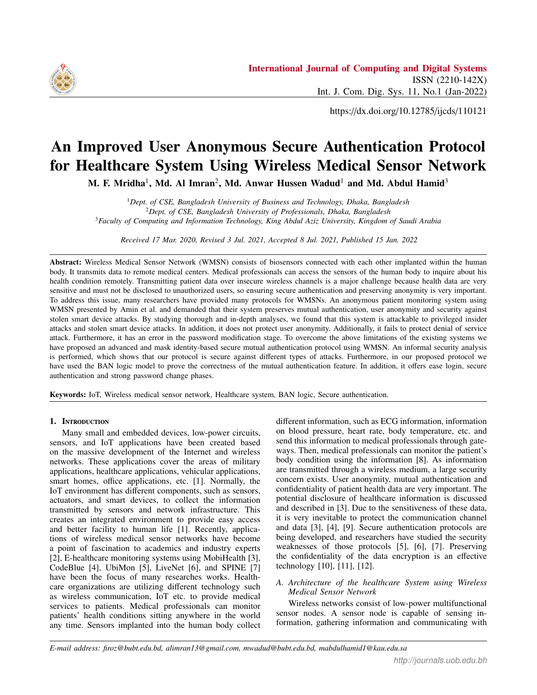

## *D. Fails to preserve user anonymity*

As this protocol transmits medical professionals' identity  $U_{\perp}$  *ID*<sup>*i*</sup> and sensors identity  $U_{\perp}$  *ID*<sub>*SN<sub>j</sub>*</sub> clear text over an insecure channel, their identity can be exposed by hacker. This will fail to preserve user anonymity.

## *E. Stolen mobile device attack*

User  $U_i$  i stores  $\langle TU_i, U_i, U_{i} \rangle$  *Reg<sub>i</sub>*,  $AA_i$ ,  $AC_i$ , hf(.) > to mobile devices. An attacker can extract all the data using a power analysis attack [44], [45] when the device is stolen. This information can be used to point the flaw in the password modification stage.

## 5. Proposed protocol

User anonymity and mutual authentication are immensely emergent for WMSNs. In this section, we have proposed an enhanced protocol to retreat the security defects remaining in [40] by introducing masked identity and hash function-based mutual authentication. Analogous to the protocol in [40], our protocol uses five phases: as Amin et. al. The explicit representation of the proposed protocol is described in Table II.

## *A. Setup*

Initially, the recording center is a trusted unit in the system. It generates a secret shared key *S K gu* for *GTW* and *U*. *GTW* and *S N* use *S Kgsn* shared key. RC uses a one hash function hf(.) where hf:  $\lceil 0, 1 \rceil$  | f 0, 1  $\lceil d \rceil$ , where *l* represents hf(.) output length.



Figure 2. Medical professional registration phase

## *B. Medical professional registration stage*

Health professional *U i* first needs to register him/herself in the gateway to provide medical services to the patient. This phase is described in Figure 2. In this stage, *U i* and *GTW* execute the following steps.

**Step 1:** *U i* chooses an identity  $ID_u$ , password  $PW_u$ and a arbitrary nonce  $K_u$ . Then,  $MPW_u = hf(PW_u||K_u||ID_u)$ ) and  $MID_u = hf(ID_u | jK_u)$  are calculated. Now *U i* sends  $\langle MID_u, MPW_u \rangle$  to *GTW* securely.

**Step 2:** On receiving  $\langle MID_u, MPW_u \rangle$ ,  $GTW$  selects a random number  $R_u$ . *GTW* calculates  $Reg_u = hf(MID_u | i)$  $RN_u$  jj  $MPW_u$  ),  $A_u = RN_u$   $MD_u$ ,  $B_u = A_u$   $MPW_u$ ,  $C_u =$ hf( $MID_u$  jj  $ID_{GTW}$  *j*j  $SK_{gu}$  ) B<sub>u</sub> and  $D_u = RN_u$  *hf*(ID<sub>GTW</sub>)*j*  $S K_{gu}$ ). Then, he/she sends <  $C_u$ ,  $Reg_u$ ,  $B_u$  > to U.S.

Step 3: Subsequently getting the information, *U i* again calculates  $X_u = hf(ID_u)$   $K_u$ ,  $V_u = hf(ID_u)$   $S K_{gu}$  ij  $MPW_u$ ) and  $C_u = C_u$  *h*  $f(K_u | \textbf{X}_s u)$  and stores <  $V_u, X_u, C_u, Reg_u,$ <br>hf() > into the mobile device hf(.) > into the mobile device.

## *C. Patient registration phase*

This stage is similar like the [15] protocol. The steps are described below:

Step 1: The candidate first enters his/her name and sends to the registration point. The registration point picks the accurate detecting device and entitles a medical professional.

Step 2: At last, patient recognition and medical sensor data sent by the registration center to the mentioned professional.

## *D. Login and authentication phase*

At this stage, session key and mutual authentication agreement among the parties involved in this procedure is achieved. The steps are depicted below:

**Step 1:**  $U_i$  inputs its uniqueness  $ID_u$  and password  $PW_u$  to the mobile. Following that, it measures  $K_u = X_u$  $hf(\text{ID}_u)$ ,  $MID_u = hf(ID_u$  jj  $K_u$ ),  $MPW_u = hf(ID_u$  jj  $K_u$  $\iiint P W_u$ ). It also calculates  $A_u = B_u$  MPW<sub>u</sub>,  $RN_u = A_u$  $MID_u$ ,  $Reg_u = hf(MID_u, j]$   $RN_u$   $j]$   $MPW_u$   $)$  and  $V_u = hf(ID_u$ jj *S Kgu* jj *MPW<sup>u</sup>* ). If *Reg<sup>u</sup>* matches *Reg<sup>u</sup>* and *V<sup>u</sup>* matches *Vu*, then  $U$  *i* inputs correct ID and password. Then, it generates *RN*<sub>1</sub> and calculates  $CID_U = ID_u$  *hf*(RN<sub>u</sub> || *T*<sub>1</sub>),  $E_u = X_u$ *h f*(ID*<sup>u</sup>* jj *RN<sup>u</sup>* jj *S Kgu* ), *UM*1= hf(*ID<sup>u</sup>* jj*X<sup>u</sup>* jj *RN*1jj *T*<sup>1</sup> ) and  $UM_2 = RN_1$  *hf*( $RN_u$  jj  $T_1$ ). Then, it forwards the information <  $CID_U$ ,  $UM_1$ ,  $UM_2$ ,  $T_1$  > to  $GTW$ .

Step 2: After receiving the information, *GTW* compares the validity of timestamp  $T_1$  by  $|T_1 - T| < \Delta T$ . If the time to receive the message is fewer than the time break for the communication delay ∆*T*, the message has not been captured by the invader. *GTW* then computes  $RN_u = D_u$  $hf(\text{ID}_{GTW}||S K)$ ,  $ID_u = CID_U hf(\text{RN}_u || T_1)$ ,  $RN_1 =$  $UM_2$  *hf*( $RN_u$  jj  $T_1$  ), $X_u = E_u$  *hf*( $ID_u$  jj  $RN_u$  jj  $SK_{gu}$ ),  $UM_1 = hf(ID_u |jX_u |jRN_1|jT_1)$ . Then,  $GTW$  verifies whether  $UM_1$ ?=  $UM_1$  holds. If it holds, then  $GTW$  come to the conclusion that  $U_i$  sent  $UM_1$  authentic message; else, it terminates the session. If the condition holds, *GTW* generates  $RN_2$  and computes  $UM_3$ = hf( $RN_2$ )  $T_2$  )  $SK_{gsn}$ ),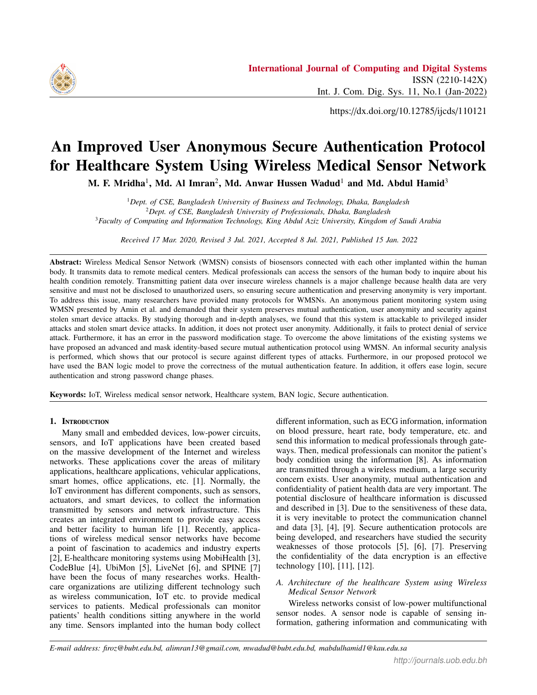

Figure 3. Login and authentication phase

 $UM_4 = RN_2$  SK<sub>gsn</sub> and  $UM_5 = UM_4$  UM<sub>3</sub>. Then, sends the information  $\leq UM_4$ ,  $UM_5$ ,  $T_2 >$  to *SN* sensor.

**Step 3:** Upon getting  $\lt U M_4$ ,  $UM_5$ ,  $T_2 \gt SN$  authenticates  $|T_2 - T| < \Delta T$ . If it holds, then the message has not been intercepted by the intruder. Now *S N* calculates  $UM3 = UM_5$   $UM_4$ ,  $RN_2 = UM_4$   $SK_{gsn}$ ,  $UM_3 = hf(N_2)$  $T_2$  is  $K_{\text{gsn}}$ ). Then, *SN* proves the equivalence of  $UM_3$ with *UM*<sub>3</sub>. If both are the same, *SN* produces an arbitrary number  $RN_3$  and calculates  $SK = \text{hf}(\text{UM}_3)$   $\mid RN_3\mid$   $RN_2$ ),  $UM_6 = hf(SKjj RN_3jj SK_{gsn})$  and  $UM_7 = RN_3 hf(RN_2)$ . Now *SN* forwards  $\lt U M_6$ ,  $UM_7 >$  to *GTW*.

Step 4: After receiving the information, *S N* computes  $RN_2 = UM_4$  SK<sub>gsn</sub>,  $RN_3 = UM_7$  *hf*(RN<sub>2</sub>), *SK* = hf(  $UM_3$ jj *RN*<sub>3</sub>jj *RN*<sub>2</sub>),  $UM_6$  = hf( *SK* jj *RN*<sub>3</sub>jj *SK*<sub>*gsn*</sub>). Now, *SN* checks whether  $U\tilde{M}_6$  equals  $U M_6$ . If both are equal, then it computes  $UM_8 = hf(X_ujj \, SK \, jj \, RN_3), \, UM_9 = UM_3$  $hf(SK_{gu})$ ,  $UM_{10} = UM_7$  RN<sub>3</sub> and  $UM_{11} = UM_{10}$  RN<sub>2</sub>. Finally, it sends <  $UM_7$ ,  $UM_8$ ,  $UM_9$ ,  $UM_{10}$ ,  $UM_{11} >$  to U.S.

Step 5: After obtaining the information, *GTW* calculates  $RN_3 = UM_7$  UM<sub>10</sub>,  $UM_3 = UM_3(SK_{gu})$ ,  $RN_2 =$  $UM_{11}$  **UM**<sub>10</sub>, *SK* = H(  $UM_3$ jj *RN*<sub>3</sub>)j *RN*<sub>2</sub>),  $X_u = E_u(ID_u^T)$ jj

 $RN_u$  jj  $SK_{gu}$  ) and  $UM_8 = hf(X_u)$  *SK* jj  $RN_3$ ). Then, *GTW* checks  $UM_8$  ?=  $UM_8$ . If it matches, then  $UM_8$  is sent by *GTW*.

Figure 3 shows the explanation of this segment.

#### *E. Password change stage*

In this stage allows users to change the old password with updated password. The steps are described below:

**Step 1:**  $U_i$  enters  $ID_u$  and password  $PW_u$  into the smart device.

**Step 2:** It computes  $K_u = X_u$  *hf*(ID<sub>u</sub>),  $MID_u = hf(ID_u)$ j]  $K_u$ ),  $MPW_u = hf(ID_u$  j]  $K_u$  j]  $PW_u$  ). It also calculates  $A_u$  $=$ B<sub>u</sub> MPW<sub>u</sub>, RN<sub>u</sub> =A<sub>u</sub> MID<sub>u</sub>, Reg<sub>u</sub> = hf(*MID*<sub>u</sub>) j| RN<sub>u</sub>  $\iiint P W_u$ ). If  $Re g_u$  matches  $Re g_u$  and  $V_u$  matches  $V_u$ , then *U i* enters accurate ID and password. Then, it requests for a latest password.

**Step 3:** user  $U_i$  inputs the latest password  $PW_u^{new}$ .

**Step 4**: The mobile device calculates  $K_u^{new} = X_u$  *hf*(ID<sub>u</sub>)



Figure 4. Password change phase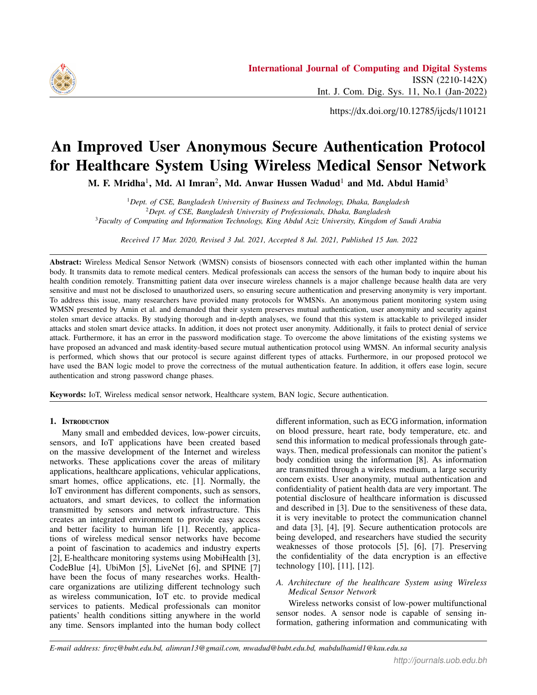

 $\mathcal{M}$ ,  $\mathcal{M}$ *D*<sup>new</sup> =hf(*ID*<sub>*u*</sub> jj  $K_u^{new}$ ),  $\mathcal{M}$ PW<sup>new</sup> = hf(*ID*<sub>*u*</sub> jj  $K_u^{new}$ )j *pW*<sub>*u*</sub><sup>*u*</sup>, *u Iu***<sub>***u***</sub>** *n<sub></sub>**i***<sub>***u***</sub>** *n***<sub>***u***</sub>** *n***<sub>***u***</sub>** *n***<sub>***u***</sub>** *n***<sub>***u***</sub>** *n***<sub>***u***</sub>** *n***<sub>***u***</sub>** *n***<sub>***u***</sub>** *n***<sub>***u***</sub>** *n***<sub>***u***</sub>** *n***<sub>***u***</sub>** *n***<sub>***u***</sub>** *n***<sub>***u***</sub>** *n***<sub>***u***</sub>** *n***<sub>***u***</sub>** *n***<sub>***u***</sub>** *n***<sub>***u***</sub>** *n***<sub>***u***</sub>** *n***<sub>***u***</sub>** *n***<sub>***u*</sub>  $A_u^{new}$   $MD_u^{new}$ ,  $Reg_u^{new} = hf(MID_u^{new})$   $RN_u^{new}$  *MPW<sub>u</sub>*<sup>new</sup>),  $X_u^{new} = K_u^{new}$  *hf*(ID<sub>u</sub>),  $B_u^{new} = A_u^{new}$  MPW<sub>u</sub><sup>*u*</sup> and  $V_u^{new}$  $\hat{H(ID_u)}$  *SK<sub>gu</sub> jj MPW*<sup>*new*</sup></sub>. Finally, the mobile device stores all information <  $V^{new}_{\mu}$ ,  $X^{new}_{\mu}$ ,  $Reg^{new}_{\mu}$ ,  $B^{new}_{\mu}$  > to its memory.<br>This phase is explained in Figure 4. This phase is explained in Figure 4.

## 6. Security analysis and performance of the proposed protocol

In this segment, we have performed an informal security investigation of this procedure. This protocol protects privileged insider attacks and stolen smart device attacks. It preserves user anonymity and achieves mutual authentication. It also presents a strong password change phase. It reduces the communication cost between the sensor and medical professional. The detailed description is as follows:

# *A. Privileged insider attack*

This protocol is resistant to privileged insider attacks. *ID<sup>u</sup>* and *PW<sup>u</sup>* are never sent clear text in this protocol. Therefore, the attacker cannot guess the password. Assume that the attacker knows  $MID_u$  and  $MPW_u$ . To presumption the password invader needs to know  $ID_u$  and  $K_u$ .  $K_u$  is a arbitrary number created by the user and only known to him.  $K_u$  is also hidden inside  $X_u$ , and  $ID_u$  is never sent clear text in the communication channel. Therefore, even privileged insiders are not able to know the password.

## *B. Stolen mobile device attack*

User  $U_i$  stores  $\langle V_u, X_u, C_u, Reg_u, B_u, hf(.) \rangle$ <br>mobile devices With this information attacker cannot to mobile devices. With this information, attacker cannot extract other information to launch another attack using a power analysis attack [44], [45], such as password change or denial of service attack.

# *C. Strong password change stage*

The password change stage is well protected in this procedure. As an attacker, even a privileged insider does not know the password, so he cannot initiate the password change phase.

# *D. Denial of service attack*

As the attacker cannot initiate the password change phase, there is no option of denial-of-service attack by the invader.

# *E. Achievement of mutual authentication*

This protocol achieves mutual authentication in the sign in and validation stage. Each participant verifies the source of the message so that *U i*, *GTW* and *S N* authenticate each other before exchanging information.

# *F. Replay attack*

This protocol involves a timestamp in the sign in and authentication stage and verifies the freshness of each message on every communication. It also authenticates each other before establishing any session. Therefore, this protocol is resistant to replay attacks.

## *G. Anonymity preservation*

This protocol preserves user anonymity because it uses masked identity *MID<sup>u</sup>* and masked password *MPWu*. Identity  $ID_u$  is never sent clear text throughout the communication. Therefore, it protects the disclosure of user identity.

## *H. Increase in sensor lifetime*

The proposed protocol architecture increases the lifetime of the sensor node by introducing a gateway between the communication of the sensor node and the medical profession. Direct communication incurs higher communication costs [1], [14], [15]. Therefore, we have modified our architecture and introduced a gateway between the sensor node and medical professional so that information is exchanged through the gateway.

## 7. Correctness of authentication using the BAN logic MODEL

Burrows–Abadi–Needham logic (also known as BAN logic) has some set of guidelines to verify the source of message, genuineness of origin, and freshness of the authentication protocol. The model is described in [46]. We have used this BAN rule to verify our authentication protocol. Here are some basic points of the BAN model for better perception.

> Keys: Keys are used for encryption and decryption Principals: The person assigned to the protocol or the agent as the program is called the principal.

> Public keys: It is similar to keys but has a pair of keys for encryption and decryption.

> Nonce's: It is part of message and not to be repeated.

Timestamp: It is similar to nonce but less likely to happen again.

# *A. Notation of BAN logic:*

The symbolization's for BAN rules are described below:

 $A_i$  *j*  $S_i$ :  $A_i$  believes  $S_i$  as true.

 $A_i$  /S<sub>*i*</sub>:  $A_i$  can see message  $S_i$  and read or repeat it.

 $A_i$   $S_i$ :  $A_i$  once said the message  $S_i$ .

 $A_i$ )  $S_i$ :  $A_i$  has authority over message  $S_i$ 

 $#(S_i)$ : Message  $S_i$  is fresh

 $(S_i, T_i)$ : Rule  $S_i$  or  $T_i$  is one part of  $(S_i, T_i)$ .

 $S_i > T_i$ : Rule  $S_i$  combined with rule  $T_i$ .

fS<sub>i</sub>Q  $K_i$ : Rule  $S_i$  is encrypted under the key  $K_i$ .

 $(S_i)$   $K_i$ : Rule  $S_i$  is hashed with the key  $K_i$ .

 $A_i \stackrel{K_i}{\longrightarrow} D_i$ :  $A_i$  communicate with  $D_i$  using shared key  $K_i$ .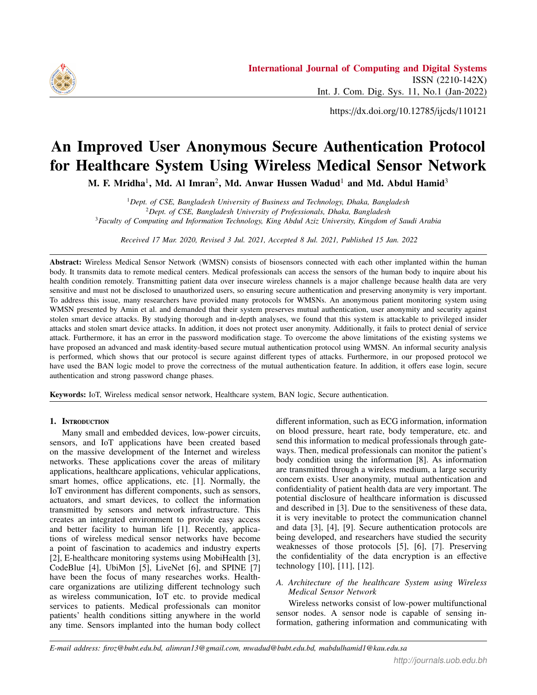$A_i \stackrel{S_i}{\rightleftharpoons} D_i$ : Only  $A_i$  and  $D_i$  know the secret  $S_i$ .

*B. BAN logic rules*

The subsequent rules are used in BAN logic.

**Message-meaning rule:**  $\frac{A_{i\bar{j}}}{A_{i\bar{j}}} \frac{A_{i\bar{i}} \in D_{i;} A_{i}/< S_{i}>_{K_{i}}} {A_{i\bar{j}}} \frac{B_{i}}{D_{i}j} \frac{B_{i}}{S_{i}}$ Freshness-conjuncatenation rule:  $\frac{A_i j}{A_i j} \frac{\#(S_i)}{\#(S_i \cdot Y)}$  $\overline{A_i}$   $\#(S_i;Y)$ Belief rule:  $\frac{A_i j_{i}(S_i) A_i j_{i}}{A_i (S_i \cdot Y)}$ *Ai* j(*S <sup>i</sup>* ;*Y*)

Nonce-verification rule:  $\frac{A_i j}{\frac{A_i j}{\Delta}} \frac{\#(S_i) \cdot A_i j}{\frac{D_i j}{\Delta}} \frac{D_i j}{\frac{S_i}{\Delta}}$ *Ai* j*D<sup>i</sup>* j*S <sup>i</sup>*

Jurisdiction rule:  $\frac{A_i \mid D_i \mid S_i \mid A_j \mid S_i}{A_i \mid S_i}$ 

Session key rule:  $\frac{A_i j}{\sqrt{S_i}} \frac{(S_i) A_i j}{\sqrt{S_i}} \frac{D_i j}{\sqrt{S_i}}$  $A_i$ **j**  $A_i$ <sup>*K<sub>i</sub></sup>*  $D_i$ </sup>

Our proposed procedure should gratify the subsequent goals to prove its safety.

\n**Goal 1:** 
$$
GL_i
$$
  $GL_i$   $\stackrel{K_i}{\cdot}$   $U_i$ \n

\n\n**Goal 2:**  $GL_i$   $GL_i$   $\stackrel{K_i}{\cdot}$   $SN$ \n

\n\n**Goal 3:**  $SNj$   $SN$   $\stackrel{K_i}{\cdot}$   $GL_i$ \n

\n\n**Goal 4:**  $U_i$   $U_i$   $U_i$   $\stackrel{K_i}{\cdot}$   $GL_i$ \n

Perfect form: The standard version of the proposed procedure is given below.

> $U$ **M1:**  $U_i$  !  $GL_i$  :  $CID_{U_i}$ ,  $UM_1$ ,  $UM_2$ ,  $T_1$ ,  $E_{U_i}$ ,  $ID_{SN}$  :<  $RN_1 >_{S Kgu}$

**UM2:**  $GL_i$  ! *SN* :  $UM_4$ ;  $UM_5$ ;  $T_2$ ; :<  $RN_2 > S_{Kgsn}$ 

**UM3:**  $SN$  !  $GL_i$  :  $UM_6$ ;  $UM_7$  :<  $RN_3 > S_{Kgsn}$ 

**UM4:**  $GL_i$  !  $U_i$  :  $UM_7$ ,  $UM_8$ ,  $UM_9$ ,  $UM_{10}$ ,  $UM_{11}: < RN_1; RN_2 >_{SKeu}$ 

## *C. Initial assumption*

The subsequent are primary conventions of the proposed procedure.

|                   | <b>A1:</b> $U$ i  $\#(RN_1; RN_2; RN_3)$                               |
|-------------------|------------------------------------------------------------------------|
|                   | <b>A2:</b> $GL_i$ # $(RN_2; RN_1; RN_3)$                               |
|                   | <b>A3:</b> $SN$ #( $RN_2$ ; $RN_3$ )                                   |
| <b>B1:</b> $SN$   | $GL_i$ ) $RN_2$                                                        |
| <b>B2:</b> $GL_i$ | $SN$ ) $RN_3$                                                          |
| <b>B3:</b> $GLi$  | $U$ i) $RN_1$                                                          |
|                   | <b>B4:</b> <i>U i</i>   <i>GL</i> <sub><i>i</i></sub> ) $(RN_2; RN_3)$ |
|                   |                                                                        |

C1: 
$$
U_i
$$
  $U_i$   $U_i$   ${}^{SK_{\text{gw}}}_{i}$   $GL_i$   
C2:  $GL_i$   $GL_i$   $SU_i$ 

Below is the proof of our protocol by achieving the abovementioned goals

> $UM_1: U_i : GL_i : CID_U, UM_1, UM_2, T_1, E_u$ *ID*<sub>*SN*</sub>: <  $RN_1 > S K_{gu}$

> Using the seeing formula: S1:  $GL_i$  !  $CID_U$ ,  $UM_1$ ,  $UM_2$ ,  $T_1$ ,  $E_u$ ,  $ID_{SN}$ : <  $RN_1 > S K_{\textit{gu}}$

Using C1, S1 message-meaning formula: **S2**:  $GL_i$ **j**  $U_i$ **j**  $RN_1$ 

Using A2, S2 freshness conjuncatenation name verification formula: S3: *GL<sup>i</sup>* U *i*]  $RN_1$ , where  $RN_1$  is essential information to compute the session key.

Using the B3, S3 jurisdiction formula: S4: *GL<sup>i</sup>* j *RN*<sup>1</sup>

Using A2, S3 session-key formula: **S5**:  $GL_i$ <sup>]</sup>  $GL_i$ <sup>SK</sup> $\vdash$ <sup>*i*</sup>  $U\_i$  (*Goal* 1)

 $UM_3$ : *SN*!  $GL_i$ : *UM*<sub>6</sub>; *UM*<sub>7</sub> :< *RN*<sub>3</sub> > *S Kgsn* 

Using the seeing formula:  $Q1: SN \,$ !  $GL_i: UM_6; UM_7: < RN_3 >_{SKgsn}$ 

Using C2, Q1 and message-meaning formula:  $Q2:GL_i$ <sup>*j*</sup>  $GL_i$ *j*  $RN_3$ 

Using A2, Q2 freshness conjuncatenation nonce authentication formula: Q3:*GL<sup>i</sup>* j *S N*j *RN*<sup>3</sup>

Using B2, Q3 jurisdiction formula:  $Q4:GL_i$ <sup> $j$ </sup>  $RN_3$ 

Using A2, Q3 session-key formula:  $Q5:GL_i$ j  $GL_i \overset{SK_{i-1}}{\rightarrow} SN \ (Goal \ 2)$ 

 $UM_2:GL_i$  ! *SN* :  $UM_4$ ;  $UM_5$ ;  $T_2$  :<  $RN_2 > S_{Kgsn}$ 

Using the seeing formula: **V1**: *SN* / *UM*<sub>4</sub>; *UM*<sub>5</sub>; *T*<sub>2</sub> :<  $RN_2 > S_{Kesn}$ 

Using C2, the V1 message-meaning formula: **V2**:  $SN$ <sup>j</sup>  $GL_i$ <sup>j</sup>  $RN_2$ 

Using A3, V2 freshness conjuncatenation nonce verification formula: **V3**:  $SN$ *j*  $GL_i$ *j*  $RN_2$ 

Using B1, V3 jurisdiction formula: **V4**: *SN*<sup>j</sup>  $SN$ <sup>*SK*<sub>1</sub><sup>-*i*</sup> *GL*<sub>*i*</sub> (*Goal* 3)</sup>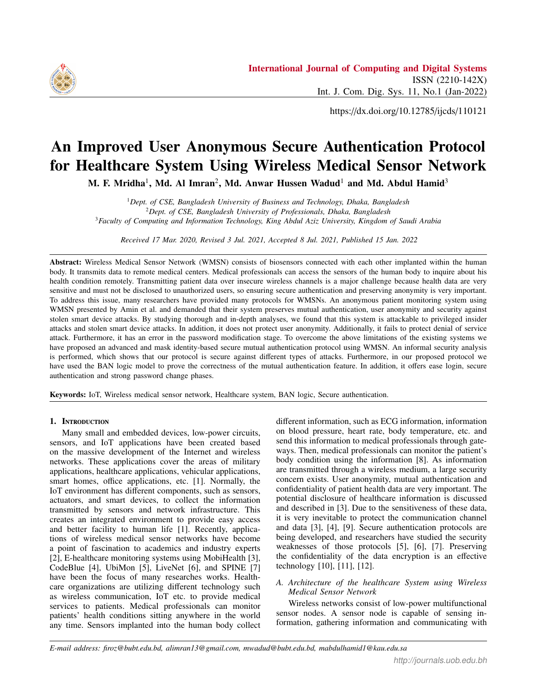Using A3, V3 session-key formula: **V5**: *SN*<sup>j</sup>  $SN$ <sup>*SK*<sub>1</sub><sup>-*i*</sup> *GL*<sub>*i*</sub> (*Goal* 3)</sup>

*UM*<sub>4</sub>: *U*  $\_i$  / *UM*<sub>7</sub>; *UM*<sub>8</sub>; *UM*<sub>9</sub>; *UM*<sub>10</sub>; *UM*<sub>11</sub>

*RN*<sub>1</sub>; *RN*<sub>2</sub>  $\frac{1}{5}$ <sub>*S Kgu*</sub>

Using the seeing formula:

 $W1:$   $U_i$  /  $UM_7$ ;  $UM_8$ ;  $UM_9$ ;  $UM_{10}$ ;  $UM_{11}$  :<  $RN_1$ ;  $RN_2 >_{S K g u}$ 

Accordingly, C1, W1 message-meaning formula: **W2**:  $U_i$  *GL*<sub>*i*</sub> *(RN*<sub>2</sub>; *RN*<sub>3</sub>)

Using A1, W2 freshness conjuncatenation nonce verification formula:

**W3**:  $U_{i}$  *i*  $GL_{i}$   $(RN_{2}; RN_{3})$ 

Using B4, W3 jurisdiction formula: **W4:** *U i*]  $(RN_2; RN_3)$ 

Using A1, W3 session-key formula: **W5**:  $U_{\perp}$ i]  $U_{\perp}$ <sup>s  $K_{\parallel}$ -<sup>i</sup>  $GL_i$  (Goal 4)</sup>

Hence, we have achieved our goals, and it is proven that our procedure satisfies mutual authentication and session key agreement.

## 8. Conclusion

In this article, we rigorously studied the procedure described in [40] and found that their protocol is prone to different attacks, such as privileged insider attacks and stolen smart device attacks. It does not protect against denial-of-service attacks and does not disclose usernames. It also has flaws in the password change phase. Our endeavor is to remove the limitations of the protocol presented in [40]. We have proposed a masked identity and hash function-based protocol that fixes the referenced security issues. we have proven that our proposed security model contributes better results than the existing security model. An informal security investigation was performed, which express that our proposed security protocol is safe and appropriate for patient monitoring systems using WMSNs. In the future, we will implement it in a cloud environment.

#### **REFERENCES**

- [1] D. He, N. Kumar, J. Chen, C.-C. Lee, N. Chilamkurti, and S.-S. Yeo, "Robust anonymous authentication protocol for health-care applications using wireless medical sensor networks," *Multimedia Syst.*, vol. 21, no. 1, pp. 49–60, Feb. 2015. [Online]. Available: http://dx.doi.org/10.1007/s00530-013-0346-9
- [2] Y. K. Ever, "Secure-anonymous user authentication scheme for e-healthcare application using wireless medical sensor networks," *IEEE Systems Journal*, pp. 1–12, 2018.
- [3] L. X. Hung, M. Khalid, R. Sankar, and S. Lee, "An efficient mutual authentication and access control scheme for wireless sensor networks in healthcare," *JNW*, vol. 6, pp. 355–364, 2011.
- [4] F. Wu and L. Xu, "Security analysis and improvement of a privacy authentication scheme for telecare medical information systems," *J. Medical Systems*, vol. 37, no. 4, p. 9958, 2012.
- [5] D. He, S. Chan, and S. Tang, "A novel and lightweight system to secure wireless medical sensor networks," *IEEE Journal of Biomedical and Health Informatics*, vol. 18, no. 1, pp. 316–326, Jan 2014.
- [6] P. Gope and T. Hwang, "Bsn-care: A secure iot-based modern healthcare system using body sensor network," *IEEE Sensors Journal*, vol. 16, no. 5, pp. 1368–1376, March 2016.
- [7] X. Li, J. Niu, S. Kumari, J. Liao, W. Liang, and M. K. Khan, "A new authentication protocol for healthcare applications using wireless medical sensor networks with user anonymity," *Security and Communication Networks*, vol. 9, no. 15, pp. 2643–2655, 2016. [Online]. Available: https://doi.org/10.1002/sec.1214
- [8] M. J. Hossain, M. A. H. Wadud, and M. Alamin, "Hdm-chain: A secure blockchain-based healthcare data management framework to ensure privacy and security in the health unit," in *2021 5th International Conference on Electrical Engineering and Information Communication Technology (ICEEICT)*, 2021.
- [9] M. J. Hossain, M. A. H. Wadud, A. Rahman, J. Ferdous, M. S. Alam, T. M. Amir Ul Haque Bhuiyan, and M. F. Mridha, "A secured patient's online data monitoring through blockchain: An intelligent way to store lifetime medical records," in *2021 International Conference on Science Contemporary Technologies (ICSCT)*, 2021, pp. 1–6.
- [10] Z. Xia, X. Wang, L. Zhang, Z. Qin, X. Sun, and K. Ren, "A privacy-preserving and copy-deterrence content-based image retrieval scheme in cloud computing," *Trans. Info. For. Sec.*, vol. 11, no. 11, pp. 2594–2608, Nov. 2016. [Online]. Available: https://doi.org/10.1109/TIFS.2016.2590944
- [11] Z. Fu, K. Ren, J. Shu, X. Sun, and F. Huang, "Enabling personalized search over encrypted outsourced data with efficiency improvement," *IEEE Trans. Parallel Distrib. Syst.*, vol. 27, no. 9, pp. 2546–2559, Sep. 2016. [Online]. Available: https://doi.org/10.1109/TPDS.2015.2506573
- [12] Z. Fu, X. Sun, Q. Liu, L. Zhou, and J. Shu, "Achieving efficient cloud search services: Multi-keyword ranked search over encrypted cloud data supporting parallel computing." *IEICE Transactions*, vol. 98-B, no. 1, pp. 190–200, 2015. [Online]. Available: http://dblp.uni-trier.de/db/journals/ieicet/ieicet98b.htmlFuSLZS15
- [13] K. Romer and F. Mattern, "The design space of wireless sensor networks," *Wireless Commun.*, vol. 11, no. 6, pp. 54–61, Dec. 2004. [Online]. Available: https://doi.org/10.1109/MWC.2004.1368897
- [14] P. Kumar, S.-G. Lee, and H.-J. Lee, "E-sap: Efficient-strong authentication protocol for healthcare applications using wireless medical sensor networks," *Sensors*, vol. 12, no. 2, pp. 1625–1647, 2012. [Online]. Available: http://www.mdpi.com/1424- 8220/12/2/1625
- [15] F. Wu, L. Xu, S. Kumari, and X. Li, "An improved and anonymous two-factor authentication protocol for health-care applications with wireless medical sensor networks," *Multimedia Syst.*, vol. 23, no. 2, pp. 195–205, 2017. [Online]. Available: https://doi.org/10.1007/s00530-015-0476-3
- [16] M. A. H. Wadud, T. M. Amir-Ul-Haque Bhuiyan, M. A. Uddin, and M. M. Rahman, "A patient centric agent assisted private blockchain on hyperledger fabric for managing remote patient monitoring," in *2020 11th International Conference on Electrical and Computer Engineering (ICECE)*, 2020, pp. 194–197.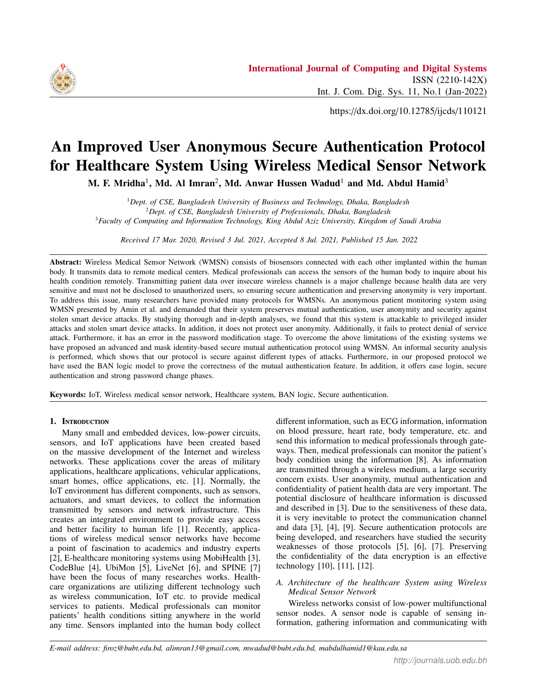

- [17] S. Kumari, M. K. Khan, and M. Atiquzzaman, "User authentication schemes for wireless sensor networks," *Ad Hoc Netw.*, vol. 27, no. C, pp. 159–194, Apr. 2015. [Online]. Available: http://dx.doi.org/10.1016/j.adhoc.2014.11.018
- [18] T. Maitra, R. Amin, D. Giri, and P. D. Srivastava, "An efficient and robust user authentication scheme for hierarchical wireless sensor networks without tamper-proof smart card," *I. J. Network Security*, vol. 18, no. 3, pp. 553–564, 2016. [Online]. Available: http://ijns.femto.com.tw/contents/ijns-v18-n3/ijns-2016 v18-n3-p553-564.pdf
- [19] C. Li, "A secure chaotic maps-based privacy-protection scheme for multi-server environments," *Security and Communication Networks*, vol. 9, no. 14, pp. 2276–2290, 2016.
- [20] M.-L. Messai, H. Seba, and M. Aliouat, "A lightweight key management scheme for wireless sensor networks," *J. Supercomput.*, vol. 71, no. 12, pp. 4400–4422, Dec. 2015. [Online]. Available: https://doi.org/10.1007/s11227-015-1534-5
- [21] P. Rawat, K. D. Singh, J.-M. BONNIN, and H. Chaouchi, "Wireless sensor networks: a survey on recent developments and potential synergies," *Journal of Supercomputing*, p. ., Oct. 2013. [Online]. Available: https://hal.archives-ouvertes.fr/hal-00955283
- [22] P. Rawat, K. Deep Singh, H. Chaouchi, and J.-M. Bonnin, "Wireless sensor networks: A survey on recent developments and potential synergies," *The Journal of Supercomputing*, vol. 68, 04 2013.
- [23] M. L. Das, "Two-factor user authentication in wireless sensor networks," *Trans. Wireless. Comm.*, vol. 8, no. 3, pp. 1086–1090, Mar. 2009. [Online]. Available: http://dx.doi.org/10.1109/TWC.2008.080128
- [24] H. Huang, Y. Chang, and C. Liu, "Enhancement of two-factor user authentication in wireless sensor networks," in *2010 Sixth International Conference on Intelligent Information Hiding and Multimedia Signal Processing*, Oct 2010, pp. 27–30.
- [25] S. G. Yoo, K. Y. Park, and J. Kim, "A securityperformance-balanced user authentication scheme for wireless sensor networks," *International Journal of Distributed Sensor Networks*, vol. 8, no. 3, p. 382810, 2012. [Online]. Available: https://doi.org/10.1155/2012/382810
- [26] K. Xue, C. Ma, P. Hong, and R. Ding, "A temporalcredential-based mutual authentication and key agreement scheme for wireless sensor networks," *J. Netw. Comput. Appl.*, vol. 36, no. 1, pp. 316–323, Jan. 2013. [Online]. Available: http://dx.doi.org/10.1016/j.jnca.2012.05.010
- [27] C.-T. Li, C.-Y. Weng, and C.-C. Lee, "An advanced temporal credential-based security scheme with mutual authentication and key agreement for wireless sensor networks," in *Sensors*, 2013.
- [28] R. Amin, S. H. Islam, G. P. Biswas, M. K. Khan, and N. Kumar, "An efficient and practical smart card based anonymity preserving user authentication scheme for TMIS using elliptic curve cryptography," *J. Medical Systems*, vol. 39, no. 11, p. 180, 2015. [Online]. Available: https://doi.org/10.1007/s10916-015-0351-y
- [29] S. H. Islam, R. Amin, G. Biswas, M. S. Farash, X. Li, and S. Kumari, "An improved three party authenticated key exchange protocol using hash function and elliptic curve cryptography for mobile-commerce environments," *Journal of King Saud University - Computer and Information Sciences*,

vol. 29, no. 3, pp. 311 – 324, 2017. [Online]. Available: http://www.sciencedirect.com/science/article/pii/S1319157815000828

- [30] R. Amin and G. P. Biswas, "An improved RSA based user authentication and session key agreement protocol usable in TMIS," *J. Medical Systems*, vol. 39, no. 8, p. 79, 2015. [Online]. Available: https://doi.org/10.1007/s10916-015-0262-y
- [31] R. Amin and G. Biswas, "Design and analysis of bilinear pairing based mutual authentication and key agreement protocol usable in multi-server environment," *Wireless Personal Communications*, vol. 84, no. 1, pp. 439–462, 2015. [Online]. Available: https://doi.org/10.1007/s11277-015-2616-7
- [32] S. H. Islam, "Design and analysis of a three party password-based authenticated key exchange protocol using extended chaotic maps," *Inf. Sci.*, vol. 312, no. C, pp. 104–130, Aug. 2015. [Online]. Available: https://doi.org/10.1016/j.ins.2015.03.050
- [33] S. Kumari, M. K. Khan, X. Li, and F. Wu, "Design of a user anonymous password authentication scheme without smart card," *Int. J. Communication Systems*, vol. 29, no. 3, pp. 441–458, 2016. [Online]. Available: https://doi.org/10.1002/dac.2853
- [34] S. Kumari, M. K. Khan, and X. Li, "An improved remote user authentication scheme with key agreement," *Computers* & *Electrical Engineering*, vol. 40, no. 6, pp. 1997–2012, 2014. [Online]. Available: https://doi.org/10.1016/j.compeleceng.2014.05.007
- [35] S. Kumari and M. K. Khan, "More secure smart card-based remote user password authentication scheme with user anonymity," *Security and Communication Networks*, vol. 7, no. 11, pp. 2039–2053, 2014. [Online]. Available: https://doi.org/10.1002/sec.916
- [36] S. Kumari, M. K. Gupta, M. K. Khan, and X. Li, "An improved timestamp-based password authentication scheme: comments, cryptanalysis, and improvement," *Security and Communication Networks*, vol. 7, no. 11, pp. 1921–1932, 2014. [Online]. Available: https://doi.org/10.1002/sec.906
- [37] R. Amin, S. H. Islam, G. P. Biswas, M. K. Khan, and X. Li, "Cryptanalysis and enhancement of anonymity preserving remote user mutual authentication and session key agreement scheme for ehealth care systems," *J. Medical Systems*, vol. 39, no. 11, pp. 140:1– 140:21, 2015. [Online]. Available: https://doi.org/10.1007/s10916- 015-0318-z
- [38] D. He, N. Kumar, and N. Chilamkurti, "A secure temporalcredential-based mutual authentication and key agreement scheme with pseudo identity for wireless sensor networks," *Inf. Sci.*, vol. 321, no. C, pp. 263–277, Nov. 2015. [Online]. Available: https://doi.org/10.1016/j.ins.2015.02.010
- [39] A. K. Das, A. K. Sutrala, V. Odelu, and A. Goswami, "A secure smartcard-based anonymous user authentication scheme for healthcare applications using wireless medical sensor networks," *Wireless Personal Communications*, vol. 94, no. 3, pp. 1899–1933, 2017. [Online]. Available: https://doi.org/10.1007/s11277-016-3718- 6
- [40] R. Amin, S. H. Islam, G. P. Biswas, M. K. Khan, and N. Kumar, "A robust and anonymous patient monitoring system using wireless medical sensor networks," *Future Generation Comp. Syst.*, vol. 80, pp. 483–495, 2018. [Online]. Available: https://doi.org/10.1016/j.future.2016.05.032
- [41] S. Babar, P. Mahalle, A. Stango, N. Prasad, and R. Prasad, "Proposed